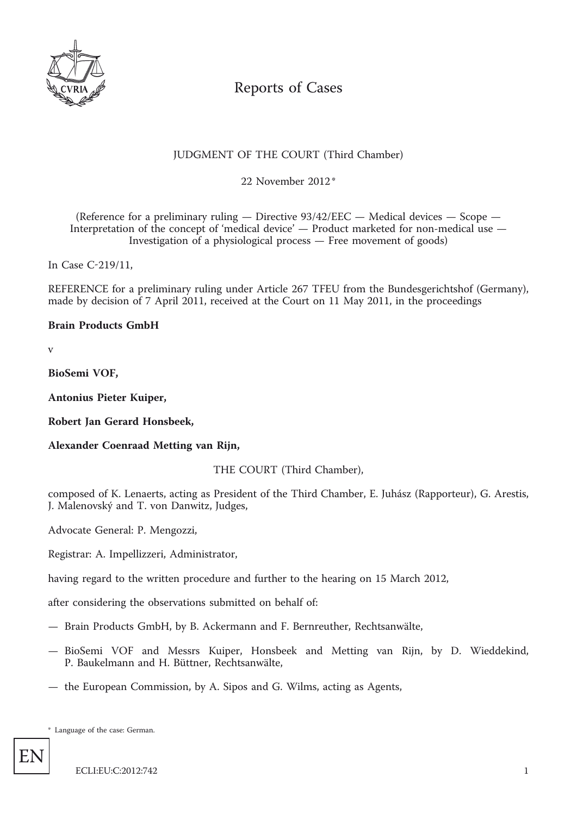

# Reports of Cases

## JUDGMENT OF THE COURT (Third Chamber)

\* 22 November 2012

(Reference for a preliminary ruling — Directive 93/42/EEC — Medical devices — Scope — Interpretation of the concept of 'medical device' — Product marketed for non-medical use — Investigation of a physiological process — Free movement of goods)

In Case C-219/11,

REFERENCE for a preliminary ruling under Article 267 TFEU from the Bundesgerichtshof (Germany), made by decision of 7 April 2011, received at the Court on 11 May 2011, in the proceedings

## **Brain Products GmbH**

v

**BioSemi VOF,**

**Antonius Pieter Kuiper,**

**Robert Jan Gerard Honsbeek,**

**Alexander Coenraad Metting van Rijn,**

THE COURT (Third Chamber),

composed of K. Lenaerts, acting as President of the Third Chamber, E. Juhász (Rapporteur), G. Arestis, J. Malenovský and T. von Danwitz, Judges,

Advocate General: P. Mengozzi,

Registrar: A. Impellizzeri, Administrator,

having regard to the written procedure and further to the hearing on 15 March 2012,

after considering the observations submitted on behalf of:

- Brain Products GmbH, by B. Ackermann and F. Bernreuther, Rechtsanwälte,
- BioSemi VOF and Messrs Kuiper, Honsbeek and Metting van Rijn, by D. Wieddekind, P. Baukelmann and H. Büttner, Rechtsanwälte,
- the European Commission, by A. Sipos and G. Wilms, acting as Agents,

\* Language of the case: German.

EN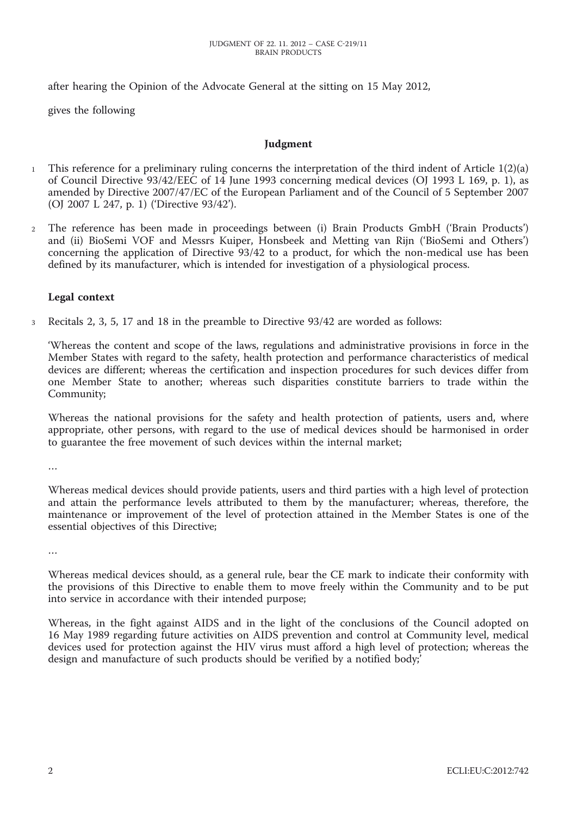after hearing the Opinion of the Advocate General at the sitting on 15 May 2012,

gives the following

#### **Judgment**

- 1 This reference for a preliminary ruling concerns the interpretation of the third indent of Article 1(2)(a) of Council Directive 93/42/EEC of 14 June 1993 concerning medical devices (OJ 1993 L 169, p. 1), as amended by Directive 2007/47/EC of the European Parliament and of the Council of 5 September 2007 (OJ 2007 L 247, p. 1) ('Directive 93/42').
- 2 The reference has been made in proceedings between (i) Brain Products GmbH ('Brain Products') and (ii) BioSemi VOF and Messrs Kuiper, Honsbeek and Metting van Rijn ('BioSemi and Others') concerning the application of Directive 93/42 to a product, for which the non-medical use has been defined by its manufacturer, which is intended for investigation of a physiological process.

## **Legal context**

3 Recitals 2, 3, 5, 17 and 18 in the preamble to Directive 93/42 are worded as follows:

'Whereas the content and scope of the laws, regulations and administrative provisions in force in the Member States with regard to the safety, health protection and performance characteristics of medical devices are different; whereas the certification and inspection procedures for such devices differ from one Member State to another; whereas such disparities constitute barriers to trade within the Community;

Whereas the national provisions for the safety and health protection of patients, users and, where appropriate, other persons, with regard to the use of medical devices should be harmonised in order to guarantee the free movement of such devices within the internal market;

…

Whereas medical devices should provide patients, users and third parties with a high level of protection and attain the performance levels attributed to them by the manufacturer; whereas, therefore, the maintenance or improvement of the level of protection attained in the Member States is one of the essential objectives of this Directive;

…

Whereas medical devices should, as a general rule, bear the CE mark to indicate their conformity with the provisions of this Directive to enable them to move freely within the Community and to be put into service in accordance with their intended purpose;

Whereas, in the fight against AIDS and in the light of the conclusions of the Council adopted on 16 May 1989 regarding future activities on AIDS prevention and control at Community level, medical devices used for protection against the HIV virus must afford a high level of protection; whereas the design and manufacture of such products should be verified by a notified body;'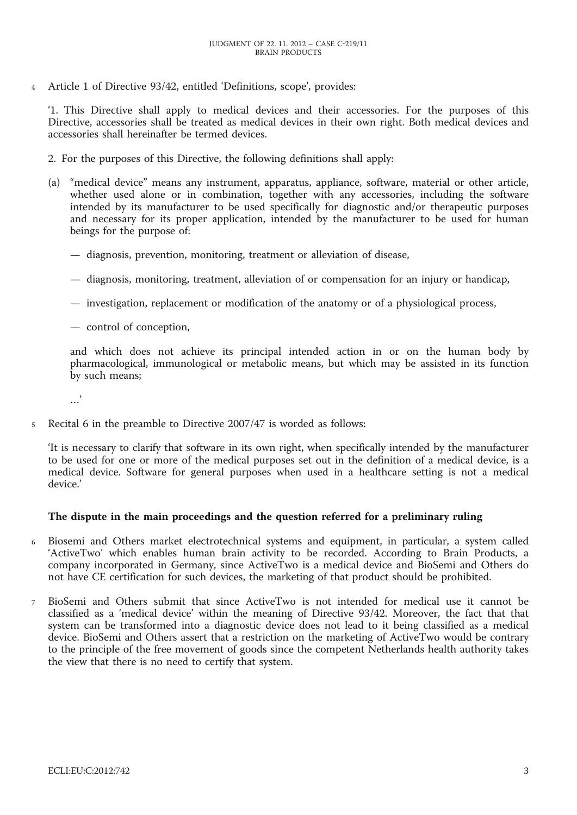4 Article 1 of Directive 93/42, entitled 'Definitions, scope', provides:

'1. This Directive shall apply to medical devices and their accessories. For the purposes of this Directive, accessories shall be treated as medical devices in their own right. Both medical devices and accessories shall hereinafter be termed devices.

- 2. For the purposes of this Directive, the following definitions shall apply:
- (a) "medical device" means any instrument, apparatus, appliance, software, material or other article, whether used alone or in combination, together with any accessories, including the software intended by its manufacturer to be used specifically for diagnostic and/or therapeutic purposes and necessary for its proper application, intended by the manufacturer to be used for human beings for the purpose of:
	- diagnosis, prevention, monitoring, treatment or alleviation of disease,
	- diagnosis, monitoring, treatment, alleviation of or compensation for an injury or handicap,
	- investigation, replacement or modification of the anatomy or of a physiological process,
	- control of conception,

and which does not achieve its principal intended action in or on the human body by pharmacological, immunological or metabolic means, but which may be assisted in its function by such means;

…'

5 Recital 6 in the preamble to Directive 2007/47 is worded as follows:

'It is necessary to clarify that software in its own right, when specifically intended by the manufacturer to be used for one or more of the medical purposes set out in the definition of a medical device, is a medical device. Software for general purposes when used in a healthcare setting is not a medical device.'

#### **The dispute in the main proceedings and the question referred for a preliminary ruling**

- 6 Biosemi and Others market electrotechnical systems and equipment, in particular, a system called 'ActiveTwo' which enables human brain activity to be recorded. According to Brain Products, a company incorporated in Germany, since ActiveTwo is a medical device and BioSemi and Others do not have CE certification for such devices, the marketing of that product should be prohibited.
- 7 BioSemi and Others submit that since ActiveTwo is not intended for medical use it cannot be classified as a 'medical device' within the meaning of Directive 93/42. Moreover, the fact that that system can be transformed into a diagnostic device does not lead to it being classified as a medical device. BioSemi and Others assert that a restriction on the marketing of ActiveTwo would be contrary to the principle of the free movement of goods since the competent Netherlands health authority takes the view that there is no need to certify that system.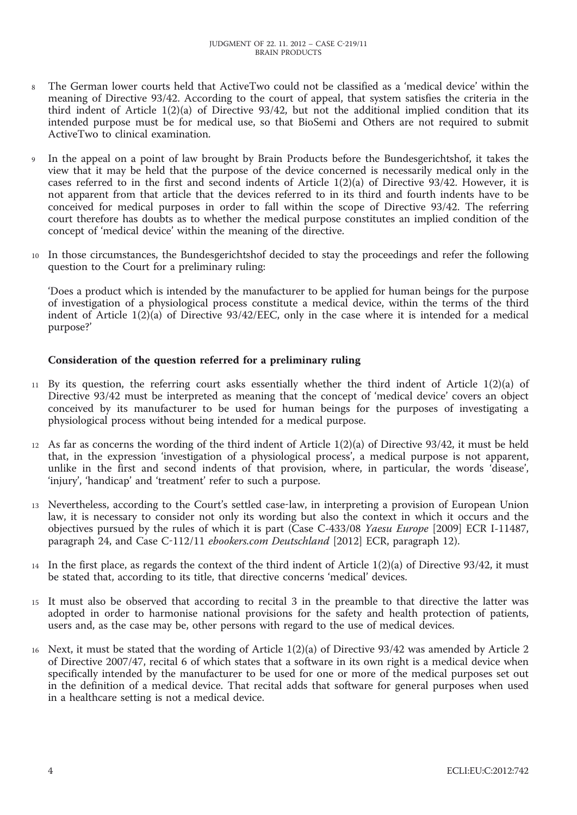- 8 The German lower courts held that ActiveTwo could not be classified as a 'medical device' within the meaning of Directive 93/42. According to the court of appeal, that system satisfies the criteria in the third indent of Article 1(2)(a) of Directive 93/42, but not the additional implied condition that its intended purpose must be for medical use, so that BioSemi and Others are not required to submit ActiveTwo to clinical examination.
- 9 In the appeal on a point of law brought by Brain Products before the Bundesgerichtshof, it takes the view that it may be held that the purpose of the device concerned is necessarily medical only in the cases referred to in the first and second indents of Article 1(2)(a) of Directive 93/42. However, it is not apparent from that article that the devices referred to in its third and fourth indents have to be conceived for medical purposes in order to fall within the scope of Directive 93/42. The referring court therefore has doubts as to whether the medical purpose constitutes an implied condition of the concept of 'medical device' within the meaning of the directive.
- 10 In those circumstances, the Bundesgerichtshof decided to stay the proceedings and refer the following question to the Court for a preliminary ruling:

'Does a product which is intended by the manufacturer to be applied for human beings for the purpose of investigation of a physiological process constitute a medical device, within the terms of the third indent of Article 1(2)(a) of Directive 93/42/EEC, only in the case where it is intended for a medical purpose?'

## **Consideration of the question referred for a preliminary ruling**

- 11 By its question, the referring court asks essentially whether the third indent of Article 1(2)(a) of Directive 93/42 must be interpreted as meaning that the concept of 'medical device' covers an object conceived by its manufacturer to be used for human beings for the purposes of investigating a physiological process without being intended for a medical purpose.
- 12 As far as concerns the wording of the third indent of Article 1(2)(a) of Directive 93/42, it must be held that, in the expression 'investigation of a physiological process', a medical purpose is not apparent, unlike in the first and second indents of that provision, where, in particular, the words 'disease', 'injury', 'handicap' and 'treatment' refer to such a purpose.
- 13 Nevertheless, according to the Court's settled case-law, in interpreting a provision of European Union law, it is necessary to consider not only its wording but also the context in which it occurs and the objectives pursued by the rules of which it is part (Case C-433/08 *Yaesu Europe* [2009] ECR I-11487, paragraph 24, and Case C-112/11 *ebookers.com Deutschland* [2012] ECR, paragraph 12).
- 14 In the first place, as regards the context of the third indent of Article  $1(2)(a)$  of Directive 93/42, it must be stated that, according to its title, that directive concerns 'medical' devices.
- 15 It must also be observed that according to recital 3 in the preamble to that directive the latter was adopted in order to harmonise national provisions for the safety and health protection of patients, users and, as the case may be, other persons with regard to the use of medical devices.
- 16 Next, it must be stated that the wording of Article 1(2)(a) of Directive 93/42 was amended by Article 2 of Directive 2007/47, recital 6 of which states that a software in its own right is a medical device when specifically intended by the manufacturer to be used for one or more of the medical purposes set out in the definition of a medical device. That recital adds that software for general purposes when used in a healthcare setting is not a medical device.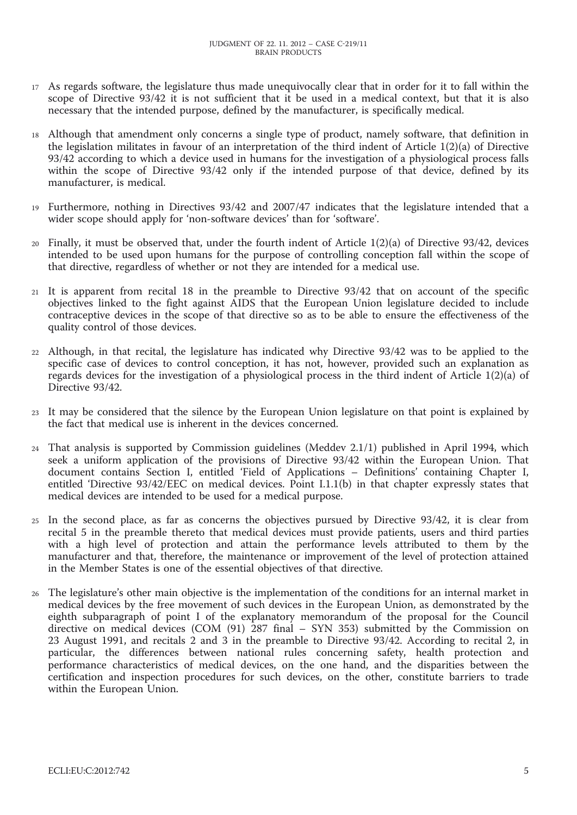- 17 As regards software, the legislature thus made unequivocally clear that in order for it to fall within the scope of Directive 93/42 it is not sufficient that it be used in a medical context, but that it is also necessary that the intended purpose, defined by the manufacturer, is specifically medical.
- 18 Although that amendment only concerns a single type of product, namely software, that definition in the legislation militates in favour of an interpretation of the third indent of Article 1(2)(a) of Directive 93/42 according to which a device used in humans for the investigation of a physiological process falls within the scope of Directive 93/42 only if the intended purpose of that device, defined by its manufacturer, is medical.
- 19 Furthermore, nothing in Directives 93/42 and 2007/47 indicates that the legislature intended that a wider scope should apply for 'non-software devices' than for 'software'.
- 20 Finally, it must be observed that, under the fourth indent of Article 1(2)(a) of Directive 93/42, devices intended to be used upon humans for the purpose of controlling conception fall within the scope of that directive, regardless of whether or not they are intended for a medical use.
- 21 It is apparent from recital 18 in the preamble to Directive 93/42 that on account of the specific objectives linked to the fight against AIDS that the European Union legislature decided to include contraceptive devices in the scope of that directive so as to be able to ensure the effectiveness of the quality control of those devices.
- 22 Although, in that recital, the legislature has indicated why Directive 93/42 was to be applied to the specific case of devices to control conception, it has not, however, provided such an explanation as regards devices for the investigation of a physiological process in the third indent of Article 1(2)(a) of Directive 93/42.
- 23 It may be considered that the silence by the European Union legislature on that point is explained by the fact that medical use is inherent in the devices concerned.
- 24 That analysis is supported by Commission guidelines (Meddev 2.1/1) published in April 1994, which seek a uniform application of the provisions of Directive 93/42 within the European Union. That document contains Section I, entitled 'Field of Applications – Definitions' containing Chapter I, entitled 'Directive 93/42/EEC on medical devices. Point I.1.1(b) in that chapter expressly states that medical devices are intended to be used for a medical purpose.
- 25 In the second place, as far as concerns the objectives pursued by Directive 93/42, it is clear from recital 5 in the preamble thereto that medical devices must provide patients, users and third parties with a high level of protection and attain the performance levels attributed to them by the manufacturer and that, therefore, the maintenance or improvement of the level of protection attained in the Member States is one of the essential objectives of that directive.
- 26 The legislature's other main objective is the implementation of the conditions for an internal market in medical devices by the free movement of such devices in the European Union, as demonstrated by the eighth subparagraph of point I of the explanatory memorandum of the proposal for the Council directive on medical devices (COM (91) 287 final – SYN 353) submitted by the Commission on 23 August 1991, and recitals 2 and 3 in the preamble to Directive 93/42. According to recital 2, in particular, the differences between national rules concerning safety, health protection and performance characteristics of medical devices, on the one hand, and the disparities between the certification and inspection procedures for such devices, on the other, constitute barriers to trade within the European Union.